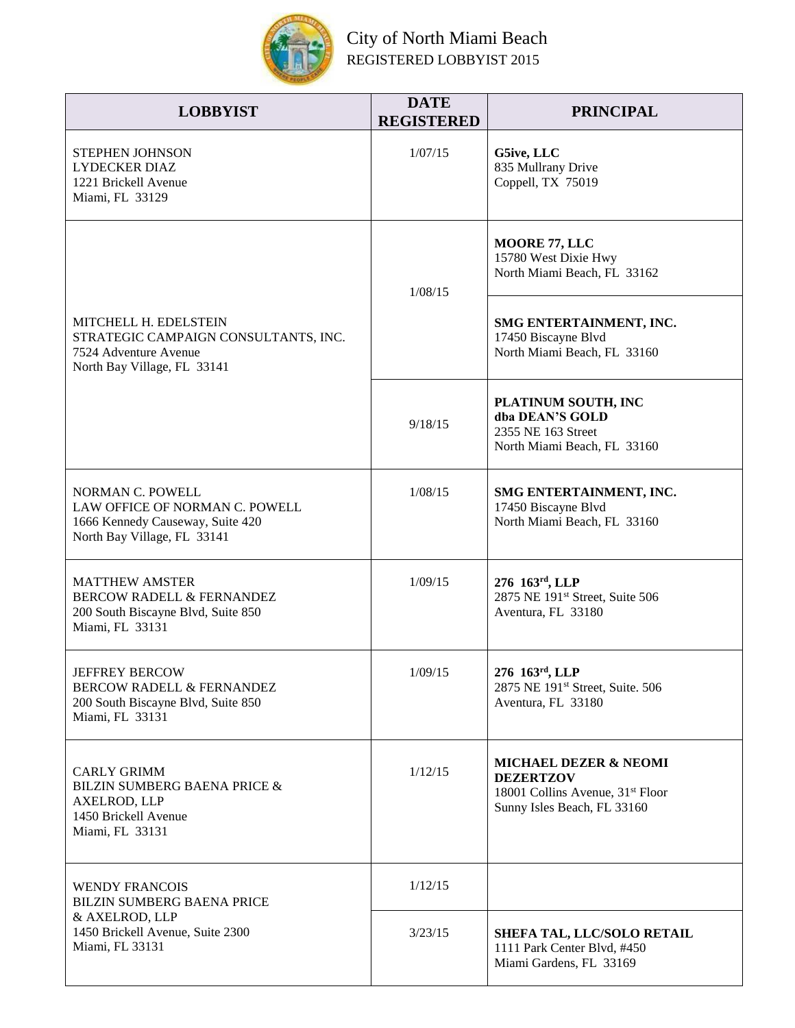

## City of North Miami Beach REGISTERED LOBBYIST 2015

| <b>LOBBYIST</b>                                                                                                              | <b>DATE</b><br><b>REGISTERED</b> | <b>PRINCIPAL</b>                                                                                                                    |
|------------------------------------------------------------------------------------------------------------------------------|----------------------------------|-------------------------------------------------------------------------------------------------------------------------------------|
| <b>STEPHEN JOHNSON</b><br><b>LYDECKER DIAZ</b><br>1221 Brickell Avenue<br>Miami, FL 33129                                    | 1/07/15                          | G5ive, LLC<br>835 Mullrany Drive<br>Coppell, TX 75019                                                                               |
| MITCHELL H. EDELSTEIN<br>STRATEGIC CAMPAIGN CONSULTANTS, INC.<br>7524 Adventure Avenue<br>North Bay Village, FL 33141        | 1/08/15                          | MOORE 77, LLC<br>15780 West Dixie Hwy<br>North Miami Beach, FL 33162                                                                |
|                                                                                                                              |                                  | SMG ENTERTAINMENT, INC.<br>17450 Biscayne Blvd<br>North Miami Beach, FL 33160                                                       |
|                                                                                                                              | 9/18/15                          | PLATINUM SOUTH, INC<br>dba DEAN'S GOLD<br>2355 NE 163 Street<br>North Miami Beach, FL 33160                                         |
| <b>NORMAN C. POWELL</b><br>LAW OFFICE OF NORMAN C. POWELL<br>1666 Kennedy Causeway, Suite 420<br>North Bay Village, FL 33141 | 1/08/15                          | SMG ENTERTAINMENT, INC.<br>17450 Biscayne Blvd<br>North Miami Beach, FL 33160                                                       |
| <b>MATTHEW AMSTER</b><br><b>BERCOW RADELL &amp; FERNANDEZ</b><br>200 South Biscayne Blvd, Suite 850<br>Miami, FL 33131       | 1/09/15                          | 276 163rd, LLP<br>2875 NE 191st Street, Suite 506<br>Aventura, FL 33180                                                             |
| <b>JEFFREY BERCOW</b><br><b>BERCOW RADELL &amp; FERNANDEZ</b><br>200 South Biscayne Blvd, Suite 850<br>Miami, FL 33131       | 1/09/15                          | 276 163rd, LLP<br>2875 NE 191st Street, Suite. 506<br>Aventura, FL 33180                                                            |
| <b>CARLY GRIMM</b><br><b>BILZIN SUMBERG BAENA PRICE &amp;</b><br>AXELROD, LLP<br>1450 Brickell Avenue<br>Miami, FL 33131     | 1/12/15                          | <b>MICHAEL DEZER &amp; NEOMI</b><br><b>DEZERTZOV</b><br>18001 Collins Avenue, 31 <sup>st</sup> Floor<br>Sunny Isles Beach, FL 33160 |
| <b>WENDY FRANCOIS</b><br>BILZIN SUMBERG BAENA PRICE<br>& AXELROD, LLP<br>1450 Brickell Avenue, Suite 2300<br>Miami, FL 33131 | 1/12/15                          |                                                                                                                                     |
|                                                                                                                              | 3/23/15                          | SHEFA TAL, LLC/SOLO RETAIL<br>1111 Park Center Blvd, #450<br>Miami Gardens, FL 33169                                                |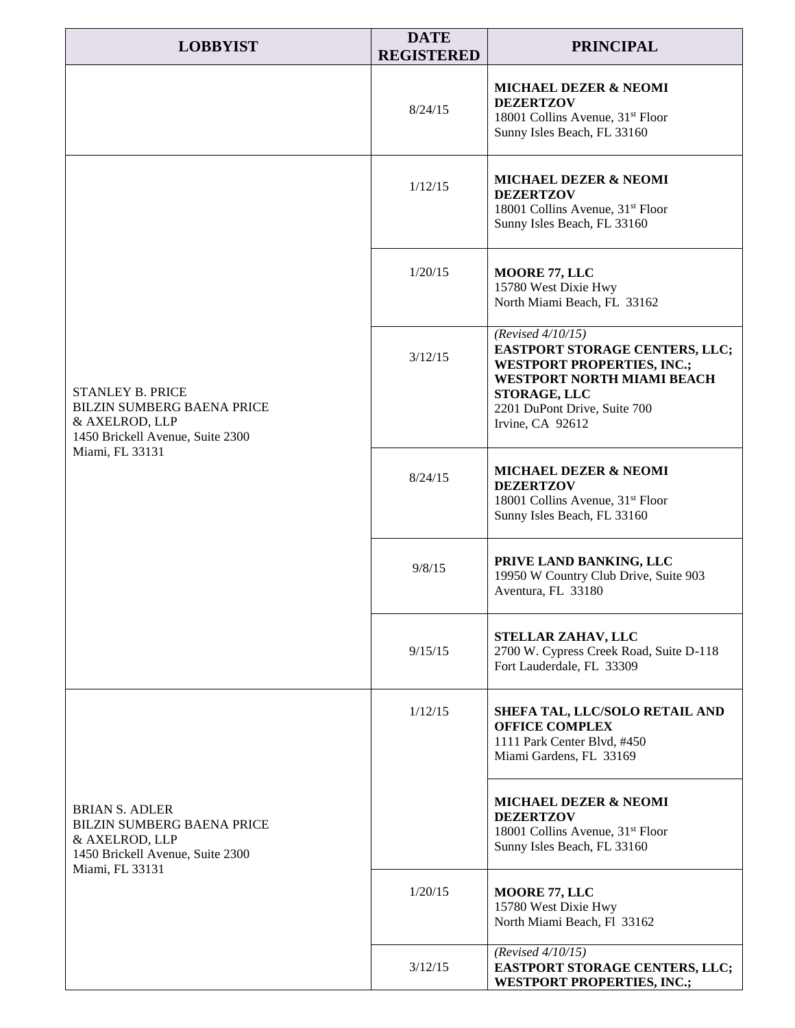| <b>LOBBYIST</b>                                                                                                                       | <b>DATE</b><br><b>REGISTERED</b> | <b>PRINCIPAL</b>                                                                                                                                                                              |
|---------------------------------------------------------------------------------------------------------------------------------------|----------------------------------|-----------------------------------------------------------------------------------------------------------------------------------------------------------------------------------------------|
|                                                                                                                                       | 8/24/15                          | <b>MICHAEL DEZER &amp; NEOMI</b><br><b>DEZERTZOV</b><br>18001 Collins Avenue, 31 <sup>st</sup> Floor<br>Sunny Isles Beach, FL 33160                                                           |
| <b>STANLEY B. PRICE</b><br><b>BILZIN SUMBERG BAENA PRICE</b><br>& AXELROD, LLP<br>1450 Brickell Avenue, Suite 2300<br>Miami, FL 33131 | 1/12/15                          | <b>MICHAEL DEZER &amp; NEOMI</b><br><b>DEZERTZOV</b><br>18001 Collins Avenue, 31 <sup>st</sup> Floor<br>Sunny Isles Beach, FL 33160                                                           |
|                                                                                                                                       | 1/20/15                          | MOORE 77, LLC<br>15780 West Dixie Hwy<br>North Miami Beach, FL 33162                                                                                                                          |
|                                                                                                                                       | 3/12/15                          | (Revised $4/10/15$ )<br>EASTPORT STORAGE CENTERS, LLC;<br><b>WESTPORT PROPERTIES, INC.;</b><br>WESTPORT NORTH MIAMI BEACH<br>STORAGE, LLC<br>2201 DuPont Drive, Suite 700<br>Irvine, CA 92612 |
|                                                                                                                                       | 8/24/15                          | <b>MICHAEL DEZER &amp; NEOMI</b><br><b>DEZERTZOV</b><br>18001 Collins Avenue, 31 <sup>st</sup> Floor<br>Sunny Isles Beach, FL 33160                                                           |
|                                                                                                                                       | 9/8/15                           | PRIVE LAND BANKING, LLC<br>19950 W Country Club Drive, Suite 903<br>Aventura, FL 33180                                                                                                        |
|                                                                                                                                       | 9/15/15                          | STELLAR ZAHAV, LLC<br>2700 W. Cypress Creek Road, Suite D-118<br>Fort Lauderdale, FL 33309                                                                                                    |
| <b>BRIAN S. ADLER</b><br><b>BILZIN SUMBERG BAENA PRICE</b><br>& AXELROD, LLP<br>1450 Brickell Avenue, Suite 2300<br>Miami, FL 33131   | 1/12/15                          | SHEFA TAL, LLC/SOLO RETAIL AND<br><b>OFFICE COMPLEX</b><br>1111 Park Center Blvd, #450<br>Miami Gardens, FL 33169                                                                             |
|                                                                                                                                       |                                  | <b>MICHAEL DEZER &amp; NEOMI</b><br><b>DEZERTZOV</b><br>18001 Collins Avenue, 31 <sup>st</sup> Floor<br>Sunny Isles Beach, FL 33160                                                           |
|                                                                                                                                       | 1/20/15                          | MOORE 77, LLC<br>15780 West Dixie Hwy<br>North Miami Beach, Fl 33162                                                                                                                          |
|                                                                                                                                       | 3/12/15                          | (Revised $4/10/15$ )<br>EASTPORT STORAGE CENTERS, LLC;<br><b>WESTPORT PROPERTIES, INC.;</b>                                                                                                   |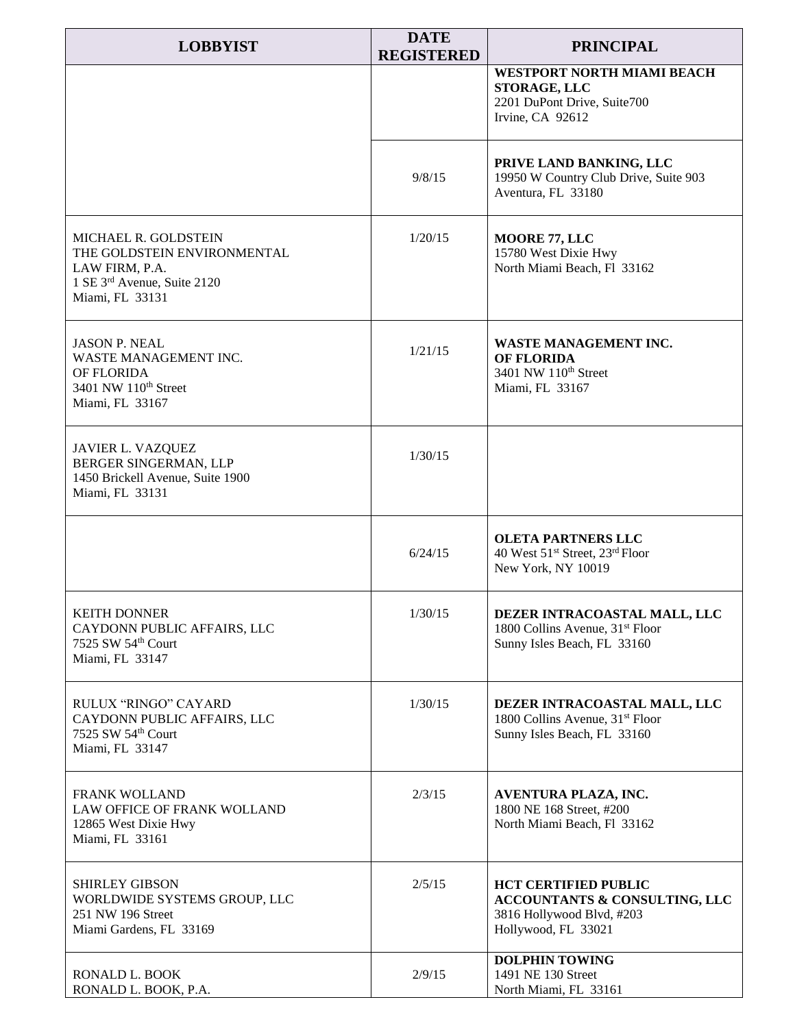| <b>LOBBYIST</b>                                                                                                                | <b>DATE</b><br><b>REGISTERED</b> | <b>PRINCIPAL</b>                                                                                                            |
|--------------------------------------------------------------------------------------------------------------------------------|----------------------------------|-----------------------------------------------------------------------------------------------------------------------------|
|                                                                                                                                |                                  | <b>WESTPORT NORTH MIAMI BEACH</b><br>STORAGE, LLC<br>2201 DuPont Drive, Suite700<br>Irvine, CA 92612                        |
|                                                                                                                                | 9/8/15                           | PRIVE LAND BANKING, LLC<br>19950 W Country Club Drive, Suite 903<br>Aventura, FL 33180                                      |
| <b>MICHAEL R. GOLDSTEIN</b><br>THE GOLDSTEIN ENVIRONMENTAL<br>LAW FIRM, P.A.<br>1 SE 3rd Avenue, Suite 2120<br>Miami, FL 33131 | 1/20/15                          | <b>MOORE 77, LLC</b><br>15780 West Dixie Hwy<br>North Miami Beach, Fl 33162                                                 |
| <b>JASON P. NEAL</b><br>WASTE MANAGEMENT INC.<br>OF FLORIDA<br>3401 NW 110 <sup>th</sup> Street<br>Miami, FL 33167             | 1/21/15                          | WASTE MANAGEMENT INC.<br><b>OF FLORIDA</b><br>3401 NW 110th Street<br>Miami, FL 33167                                       |
| JAVIER L. VAZQUEZ<br>BERGER SINGERMAN, LLP<br>1450 Brickell Avenue, Suite 1900<br>Miami, FL 33131                              | 1/30/15                          |                                                                                                                             |
|                                                                                                                                | 6/24/15                          | <b>OLETA PARTNERS LLC</b><br>40 West 51 <sup>st</sup> Street, 23 <sup>rd</sup> Floor<br>New York, NY 10019                  |
| <b>KEITH DONNER</b><br>CAYDONN PUBLIC AFFAIRS, LLC<br>7525 SW 54th Court<br>Miami, FL 33147                                    | 1/30/15                          | DEZER INTRACOASTAL MALL, LLC<br>1800 Collins Avenue, 31 <sup>st</sup> Floor<br>Sunny Isles Beach, FL 33160                  |
| RULUX "RINGO" CAYARD<br>CAYDONN PUBLIC AFFAIRS, LLC<br>7525 SW 54th Court<br>Miami, FL 33147                                   | 1/30/15                          | DEZER INTRACOASTAL MALL, LLC<br>1800 Collins Avenue, 31 <sup>st</sup> Floor<br>Sunny Isles Beach, FL 33160                  |
| <b>FRANK WOLLAND</b><br>LAW OFFICE OF FRANK WOLLAND<br>12865 West Dixie Hwy<br>Miami, FL 33161                                 | 2/3/15                           | AVENTURA PLAZA, INC.<br>1800 NE 168 Street, #200<br>North Miami Beach, Fl 33162                                             |
| <b>SHIRLEY GIBSON</b><br>WORLDWIDE SYSTEMS GROUP, LLC<br>251 NW 196 Street<br>Miami Gardens, FL 33169                          | 2/5/15                           | <b>HCT CERTIFIED PUBLIC</b><br><b>ACCOUNTANTS &amp; CONSULTING, LLC</b><br>3816 Hollywood Blvd, #203<br>Hollywood, FL 33021 |
| RONALD L. BOOK<br>RONALD L. BOOK, P.A.                                                                                         | 2/9/15                           | <b>DOLPHIN TOWING</b><br>1491 NE 130 Street<br>North Miami, FL 33161                                                        |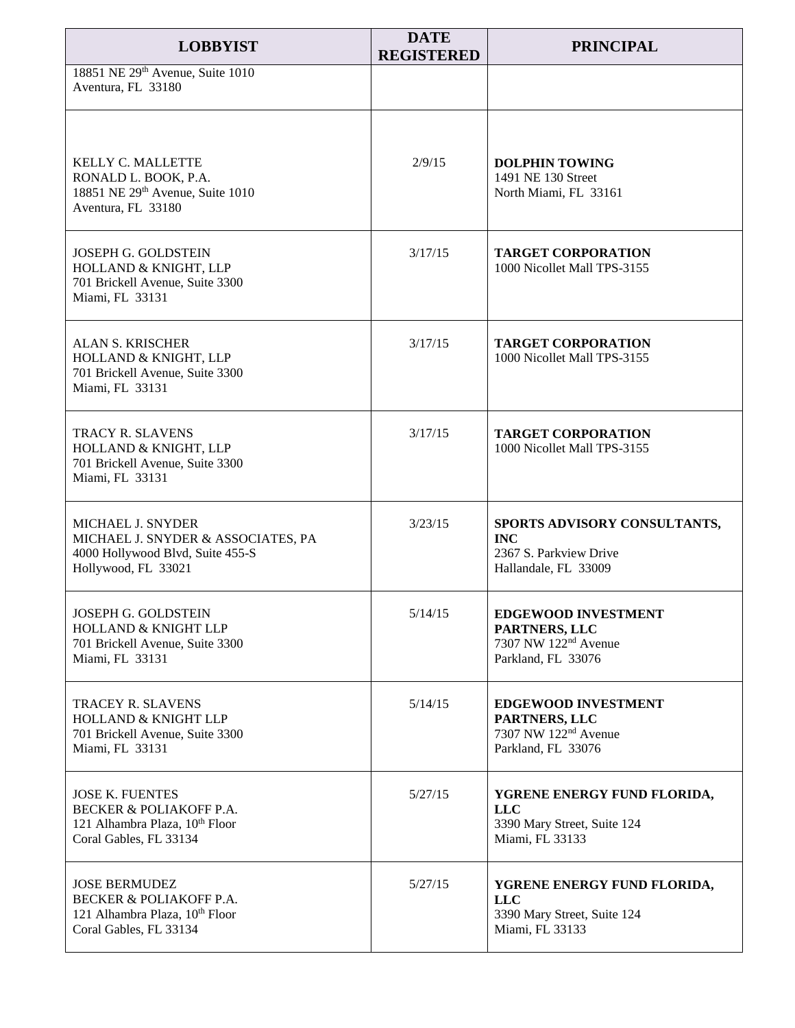| <b>LOBBYIST</b>                                                                                                          | <b>DATE</b><br><b>REGISTERED</b> | <b>PRINCIPAL</b>                                                                                      |
|--------------------------------------------------------------------------------------------------------------------------|----------------------------------|-------------------------------------------------------------------------------------------------------|
| 18851 NE 29th Avenue, Suite 1010<br>Aventura, FL 33180                                                                   |                                  |                                                                                                       |
| KELLY C. MALLETTE<br>RONALD L. BOOK, P.A.<br>18851 NE 29th Avenue, Suite 1010<br>Aventura, FL 33180                      | 2/9/15                           | <b>DOLPHIN TOWING</b><br>1491 NE 130 Street<br>North Miami, FL 33161                                  |
| JOSEPH G. GOLDSTEIN<br>HOLLAND & KNIGHT, LLP<br>701 Brickell Avenue, Suite 3300<br>Miami, FL 33131                       | 3/17/15                          | <b>TARGET CORPORATION</b><br>1000 Nicollet Mall TPS-3155                                              |
| <b>ALAN S. KRISCHER</b><br>HOLLAND & KNIGHT, LLP<br>701 Brickell Avenue, Suite 3300<br>Miami, FL 33131                   | 3/17/15                          | <b>TARGET CORPORATION</b><br>1000 Nicollet Mall TPS-3155                                              |
| TRACY R. SLAVENS<br>HOLLAND & KNIGHT, LLP<br>701 Brickell Avenue, Suite 3300<br>Miami, FL 33131                          | 3/17/15                          | <b>TARGET CORPORATION</b><br>1000 Nicollet Mall TPS-3155                                              |
| MICHAEL J. SNYDER<br>MICHAEL J. SNYDER & ASSOCIATES, PA<br>4000 Hollywood Blvd, Suite 455-S<br>Hollywood, FL 33021       | 3/23/15                          | SPORTS ADVISORY CONSULTANTS,<br><b>INC</b><br>2367 S. Parkview Drive<br>Hallandale, FL 33009          |
| JOSEPH G. GOLDSTEIN<br>HOLLAND & KNIGHT LLP<br>701 Brickell Avenue, Suite 3300<br>Miami, FL 33131                        | 5/14/15                          | <b>EDGEWOOD INVESTMENT</b><br>PARTNERS, LLC<br>7307 NW 122 <sup>nd</sup> Avenue<br>Parkland, FL 33076 |
| <b>TRACEY R. SLAVENS</b><br><b>HOLLAND &amp; KNIGHT LLP</b><br>701 Brickell Avenue, Suite 3300<br>Miami, FL 33131        | 5/14/15                          | <b>EDGEWOOD INVESTMENT</b><br>PARTNERS, LLC<br>7307 NW 122 <sup>nd</sup> Avenue<br>Parkland, FL 33076 |
| <b>JOSE K. FUENTES</b><br><b>BECKER &amp; POLIAKOFF P.A.</b><br>121 Alhambra Plaza, 10th Floor<br>Coral Gables, FL 33134 | 5/27/15                          | YGRENE ENERGY FUND FLORIDA,<br><b>LLC</b><br>3390 Mary Street, Suite 124<br>Miami, FL 33133           |
| <b>JOSE BERMUDEZ</b><br><b>BECKER &amp; POLIAKOFF P.A.</b><br>121 Alhambra Plaza, 10th Floor<br>Coral Gables, FL 33134   | 5/27/15                          | YGRENE ENERGY FUND FLORIDA,<br><b>LLC</b><br>3390 Mary Street, Suite 124<br>Miami, FL 33133           |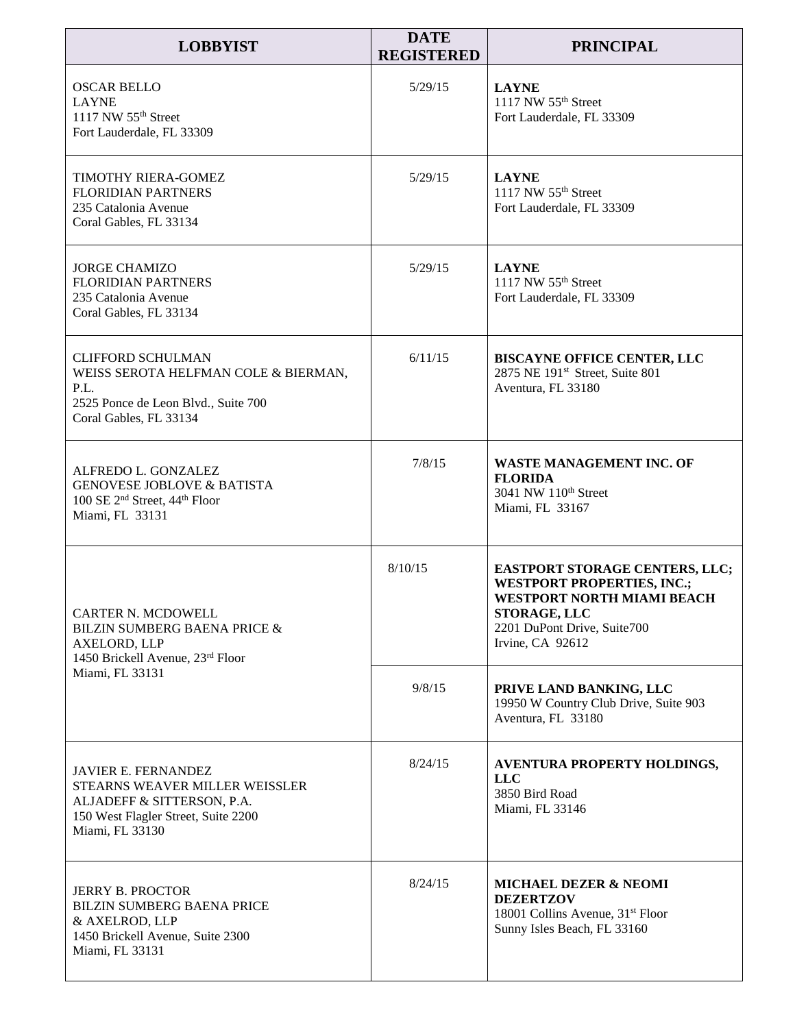| <b>LOBBYIST</b>                                                                                                                                      | <b>DATE</b><br><b>REGISTERED</b> | <b>PRINCIPAL</b>                                                                                                                                                                          |
|------------------------------------------------------------------------------------------------------------------------------------------------------|----------------------------------|-------------------------------------------------------------------------------------------------------------------------------------------------------------------------------------------|
| <b>OSCAR BELLO</b><br><b>LAYNE</b><br>1117 NW 55 <sup>th</sup> Street<br>Fort Lauderdale, FL 33309                                                   | 5/29/15                          | <b>LAYNE</b><br>1117 NW 55 <sup>th</sup> Street<br>Fort Lauderdale, FL 33309                                                                                                              |
| <b>TIMOTHY RIERA-GOMEZ</b><br><b>FLORIDIAN PARTNERS</b><br>235 Catalonia Avenue<br>Coral Gables, FL 33134                                            | 5/29/15                          | <b>LAYNE</b><br>1117 NW 55 <sup>th</sup> Street<br>Fort Lauderdale, FL 33309                                                                                                              |
| <b>JORGE CHAMIZO</b><br><b>FLORIDIAN PARTNERS</b><br>235 Catalonia Avenue<br>Coral Gables, FL 33134                                                  | 5/29/15                          | <b>LAYNE</b><br>1117 NW 55 <sup>th</sup> Street<br>Fort Lauderdale, FL 33309                                                                                                              |
| <b>CLIFFORD SCHULMAN</b><br>WEISS SEROTA HELFMAN COLE & BIERMAN,<br>P.L.<br>2525 Ponce de Leon Blvd., Suite 700<br>Coral Gables, FL 33134            | 6/11/15                          | <b>BISCAYNE OFFICE CENTER, LLC</b><br>2875 NE 191 <sup>st</sup> Street, Suite 801<br>Aventura, FL 33180                                                                                   |
| ALFREDO L. GONZALEZ<br><b>GENOVESE JOBLOVE &amp; BATISTA</b><br>100 SE 2 <sup>nd</sup> Street, 44 <sup>th</sup> Floor<br>Miami, FL 33131             | 7/8/15                           | WASTE MANAGEMENT INC. OF<br><b>FLORIDA</b><br>3041 NW 110 <sup>th</sup> Street<br>Miami, FL 33167                                                                                         |
| CARTER N. MCDOWELL<br><b>BILZIN SUMBERG BAENA PRICE &amp;</b><br>AXELORD, LLP<br>1450 Brickell Avenue, 23rd Floor<br>Miami, FL 33131                 | 8/10/15                          | <b>EASTPORT STORAGE CENTERS, LLC;</b><br><b>WESTPORT PROPERTIES, INC.;</b><br><b>WESTPORT NORTH MIAMI BEACH</b><br><b>STORAGE, LLC</b><br>2201 DuPont Drive, Suite700<br>Irvine, CA 92612 |
|                                                                                                                                                      | 9/8/15                           | PRIVE LAND BANKING, LLC<br>19950 W Country Club Drive, Suite 903<br>Aventura, FL 33180                                                                                                    |
| <b>JAVIER E. FERNANDEZ</b><br>STEARNS WEAVER MILLER WEISSLER<br>ALJADEFF & SITTERSON, P.A.<br>150 West Flagler Street, Suite 2200<br>Miami, FL 33130 | 8/24/15                          | AVENTURA PROPERTY HOLDINGS,<br><b>LLC</b><br>3850 Bird Road<br>Miami, FL 33146                                                                                                            |
| <b>JERRY B. PROCTOR</b><br><b>BILZIN SUMBERG BAENA PRICE</b><br>& AXELROD, LLP<br>1450 Brickell Avenue, Suite 2300<br>Miami, FL 33131                | 8/24/15                          | <b>MICHAEL DEZER &amp; NEOMI</b><br><b>DEZERTZOV</b><br>18001 Collins Avenue, 31 <sup>st</sup> Floor<br>Sunny Isles Beach, FL 33160                                                       |